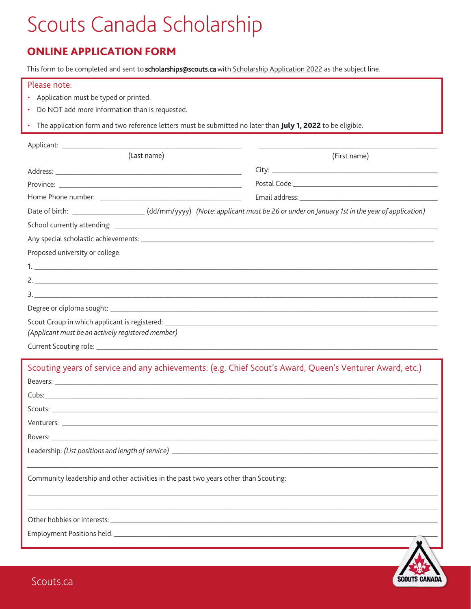## Scouts Canada Scholarship

## **ONLINE APPLICATION FORM**

This form to be completed and sent to scholarships@scouts.ca with Scholarship Application 2022 as the subject line.

## Please note:

- Application must be typed or printed.
- Do NOT add more information than is requested.
- The application form and two reference letters must be submitted no later than July 1, 2022 to be eligible.

| (Last name)                                       | (First name)                                                                                                                       |
|---------------------------------------------------|------------------------------------------------------------------------------------------------------------------------------------|
|                                                   |                                                                                                                                    |
|                                                   |                                                                                                                                    |
|                                                   |                                                                                                                                    |
|                                                   | Date of birth: _______________________(dd/mm/yyyy) (Note: applicant must be 26 or under on January 1st in the year of application) |
|                                                   |                                                                                                                                    |
|                                                   |                                                                                                                                    |
| Proposed university or college:                   |                                                                                                                                    |
|                                                   |                                                                                                                                    |
| 2.                                                |                                                                                                                                    |
|                                                   |                                                                                                                                    |
|                                                   |                                                                                                                                    |
| (Applicant must be an actively registered member) |                                                                                                                                    |

Scouting years of service and any achievements: (e.g. Chief Scout's Award, Queen's Venturer Award, etc.) Beavers:  $Cubs:$ <sub>\_\_\_\_</sub> Scouts: New York Scouts: Rovers: \_\_\_\_\_\_ Leadership: (List positions and length of service) \_\_\_\_\_\_\_\_\_\_\_\_\_\_\_\_\_\_\_\_\_\_\_\_\_\_\_\_\_ Community leadership and other activities in the past two years other than Scouting: Employment Positions held: